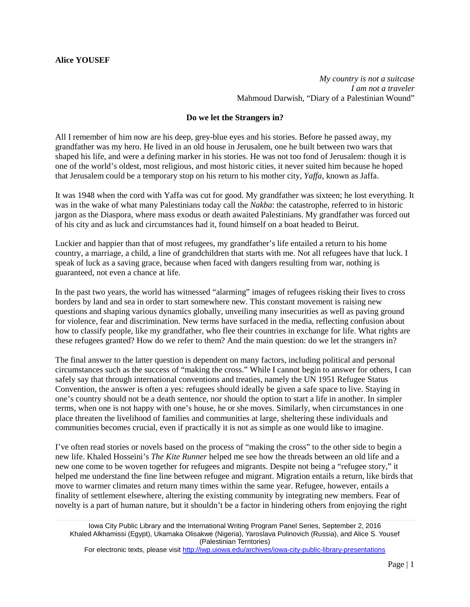*My country is not a suitcase I am not a traveler* Mahmoud Darwish, "Diary of a Palestinian Wound"

## **Do we let the Strangers in?**

All I remember of him now are his deep, grey-blue eyes and his stories. Before he passed away, my grandfather was my hero. He lived in an old house in Jerusalem, one he built between two wars that shaped his life, and were a defining marker in his stories. He was not too fond of Jerusalem: though it is one of the world's oldest, most religious, and most historic cities, it never suited him because he hoped that Jerusalem could be a temporary stop on his return to his mother city*, Yaffa*, known as Jaffa.

It was 1948 when the cord with Yaffa was cut for good. My grandfather was sixteen; he lost everything. It was in the wake of what many Palestinians today call the *Nakba*: the catastrophe, referred to in historic jargon as the Diaspora, where mass exodus or death awaited Palestinians. My grandfather was forced out of his city and as luck and circumstances had it, found himself on a boat headed to Beirut.

Luckier and happier than that of most refugees, my grandfather's life entailed a return to his home country, a marriage, a child, a line of grandchildren that starts with me. Not all refugees have that luck. I speak of luck as a saving grace, because when faced with dangers resulting from war, nothing is guaranteed, not even a chance at life.

In the past two years, the world has witnessed "alarming" images of refugees risking their lives to cross borders by land and sea in order to start somewhere new. This constant movement is raising new questions and shaping various dynamics globally, unveiling many insecurities as well as paving ground for violence, fear and discrimination. New terms have surfaced in the media, reflecting confusion about how to classify people, like my grandfather, who flee their countries in exchange for life. What rights are these refugees granted? How do we refer to them? And the main question: do we let the strangers in?

The final answer to the latter question is dependent on many factors, including political and personal circumstances such as the success of "making the cross." While I cannot begin to answer for others, I can safely say that through international conventions and treaties, namely the UN 1951 Refugee Status Convention, the answer is often a yes: refugees should ideally be given a safe space to live. Staying in one's country should not be a death sentence, nor should the option to start a life in another. In simpler terms, when one is not happy with one's house, he or she moves. Similarly, when circumstances in one place threaten the livelihood of families and communities at large, sheltering these individuals and communities becomes crucial, even if practically it is not as simple as one would like to imagine.

I've often read stories or novels based on the process of "making the cross" to the other side to begin a new life. Khaled Hosseini's *The Kite Runner* helped me see how the threads between an old life and a new one come to be woven together for refugees and migrants. Despite not being a "refugee story," it helped me understand the fine line between refugee and migrant. Migration entails a return, like birds that move to warmer climates and return many times within the same year. Refugee, however, entails a finality of settlement elsewhere, altering the existing community by integrating new members. Fear of novelty is a part of human nature, but it shouldn't be a factor in hindering others from enjoying the right

For electronic texts, please visit<http://iwp.uiowa.edu/archives/iowa-city-public-library-presentations>